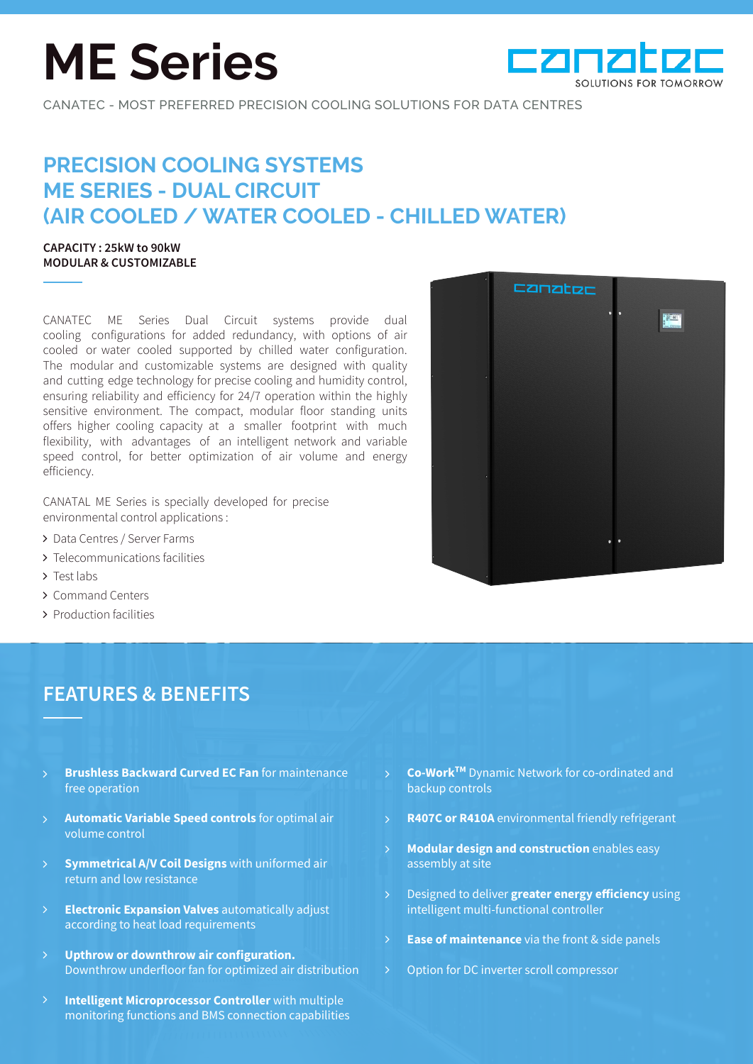## **ME Series**



CANATEC - MOST PREFERRED PRECISION COOLING SOLUTIONS FOR DATA CENTRES

## **PRECISION COOLING SYSTEMS ME SERIES - DUAL CIRCUIT (AIR COOLED / WATER COOLED - CHILLED WATER)**

## **CAPACITY : 25kW to 90kW MODULAR & CUSTOMIZABLE**

CANATEC ME Series Dual Circuit systems provide dual cooling configurations for added redundancy, with options of air cooled or water cooled supported by chilled water configuration. The modular and customizable systems are designed with quality and cutting edge technology for precise cooling and humidity control, ensuring reliability and efficiency for 24/7 operation within the highly sensitive environment. The compact, modular floor standing units offers higher cooling capacity at a smaller footprint with much flexibility, with advantages of an intelligent network and variable speed control, for better optimization of air volume and energy efficiency.

CANATAL ME Series is specially developed for precise environmental control applications :

- > Data Centres / Server Farms
- > Telecommunications facilities
- > Test labs
- Command Centers
- > Production facilities

## **FEATURES & BENEFITS**

- **Brushless Backward Curved EC Fan** for maintenance free operation  $\mathsf{P}$
- **Automatic Variable Speed controls** for optimal air volume control  $\mathbf{\hat{}}$
- **Symmetrical A/V Coil Designs** with uniformed air return and low resistance  $\mathsf{P}$
- **Electronic Expansion Valves** automatically adjust according to heat load requirements
- **Upthrow or downthrow air configuration.**  Downthrow underfloor fan for optimized air distribution  $\mathsf{P}$
- **Intelligent Microprocessor Controller** with multiple monitoring functions and BMS connection capabilities

canater 12 66

- **Co-WorkTM** Dynamic Network for co-ordinated and backup controls  $\mathsf{R}$
- **R407C or R410A** environmental friendly refrigerant  $\mathcal{P}$
- **Modular design and construction** enables easy assembly at site  $\mathcal{P}$
- Designed to deliver **greater energy efficiency** using intelligent multi-functional controller  $\mathcal{P}$
- **Ease of maintenance** via the front & side panels  $\mathcal{P}$
- Option for DC inverter scroll compressor